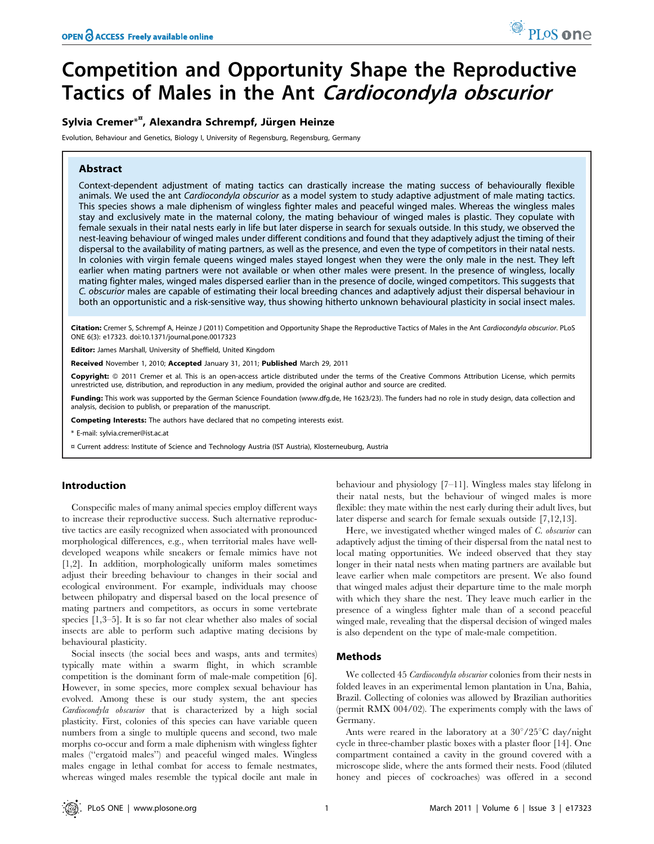# Competition and Opportunity Shape the Reproductive Tactics of Males in the Ant Cardiocondyla obscurior

# Sylvia Cremer<sup>\*¤</sup>, Alexandra Schrempf, Jürgen Heinze

Evolution, Behaviour and Genetics, Biology I, University of Regensburg, Regensburg, Germany

### Abstract

Context-dependent adjustment of mating tactics can drastically increase the mating success of behaviourally flexible animals. We used the ant Cardiocondyla obscurior as a model system to study adaptive adjustment of male mating tactics. This species shows a male diphenism of wingless fighter males and peaceful winged males. Whereas the wingless males stay and exclusively mate in the maternal colony, the mating behaviour of winged males is plastic. They copulate with female sexuals in their natal nests early in life but later disperse in search for sexuals outside. In this study, we observed the nest-leaving behaviour of winged males under different conditions and found that they adaptively adjust the timing of their dispersal to the availability of mating partners, as well as the presence, and even the type of competitors in their natal nests. In colonies with virgin female queens winged males stayed longest when they were the only male in the nest. They left earlier when mating partners were not available or when other males were present. In the presence of wingless, locally mating fighter males, winged males dispersed earlier than in the presence of docile, winged competitors. This suggests that C. obscurior males are capable of estimating their local breeding chances and adaptively adjust their dispersal behaviour in both an opportunistic and a risk-sensitive way, thus showing hitherto unknown behavioural plasticity in social insect males.

Citation: Cremer S, Schrempf A, Heinze J (2011) Competition and Opportunity Shape the Reproductive Tactics of Males in the Ant Cardiocondyla obscurior. PLoS ONE 6(3): e17323. doi:10.1371/journal.pone.0017323

Editor: James Marshall, University of Sheffield, United Kingdom

Received November 1, 2010; Accepted January 31, 2011; Published March 29, 2011

**Copyright:** © 2011 Cremer et al. This is an open-access article distributed under the terms of the Creative Commons Attribution License, which permits unrestricted use, distribution, and reproduction in any medium, provided the original author and source are credited.

Funding: This work was supported by the German Science Foundation (www.dfg.de, He 1623/23). The funders had no role in study design, data collection and analysis, decision to publish, or preparation of the manuscript.

Competing Interests: The authors have declared that no competing interests exist.

\* E-mail: sylvia.cremer@ist.ac.at

¤ Current address: Institute of Science and Technology Austria (IST Austria), Klosterneuburg, Austria

#### Introduction

Conspecific males of many animal species employ different ways to increase their reproductive success. Such alternative reproductive tactics are easily recognized when associated with pronounced morphological differences, e.g., when territorial males have welldeveloped weapons while sneakers or female mimics have not [1,2]. In addition, morphologically uniform males sometimes adjust their breeding behaviour to changes in their social and ecological environment. For example, individuals may choose between philopatry and dispersal based on the local presence of mating partners and competitors, as occurs in some vertebrate species [1,3–5]. It is so far not clear whether also males of social insects are able to perform such adaptive mating decisions by behavioural plasticity.

Social insects (the social bees and wasps, ants and termites) typically mate within a swarm flight, in which scramble competition is the dominant form of male-male competition [6]. However, in some species, more complex sexual behaviour has evolved. Among these is our study system, the ant species Cardiocondyla obscurior that is characterized by a high social plasticity. First, colonies of this species can have variable queen numbers from a single to multiple queens and second, two male morphs co-occur and form a male diphenism with wingless fighter males (''ergatoid males'') and peaceful winged males. Wingless males engage in lethal combat for access to female nestmates, whereas winged males resemble the typical docile ant male in behaviour and physiology [7–11]. Wingless males stay lifelong in their natal nests, but the behaviour of winged males is more flexible: they mate within the nest early during their adult lives, but later disperse and search for female sexuals outside [7,12,13].

Here, we investigated whether winged males of C. obscurior can adaptively adjust the timing of their dispersal from the natal nest to local mating opportunities. We indeed observed that they stay longer in their natal nests when mating partners are available but leave earlier when male competitors are present. We also found that winged males adjust their departure time to the male morph with which they share the nest. They leave much earlier in the presence of a wingless fighter male than of a second peaceful winged male, revealing that the dispersal decision of winged males is also dependent on the type of male-male competition.

## Methods

We collected 45 Cardiocondyla obscurior colonies from their nests in folded leaves in an experimental lemon plantation in Una, Bahia, Brazil. Collecting of colonies was allowed by Brazilian authorities (permit RMX 004/02). The experiments comply with the laws of Germany.

Ants were reared in the laboratory at a  $30^{\circ}/25^{\circ}$ C day/night cycle in three-chamber plastic boxes with a plaster floor [14]. One compartment contained a cavity in the ground covered with a microscope slide, where the ants formed their nests. Food (diluted honey and pieces of cockroaches) was offered in a second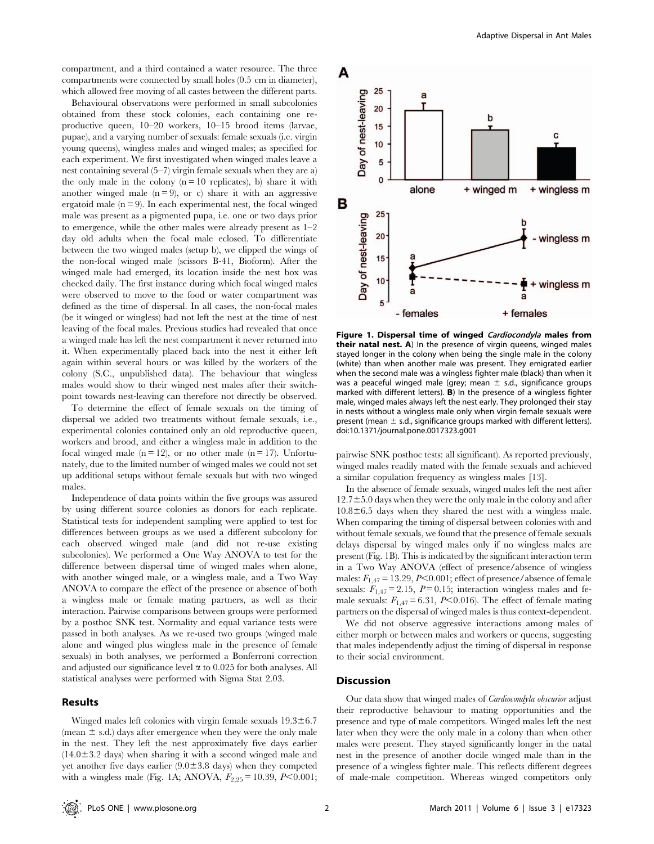compartment, and a third contained a water resource. The three compartments were connected by small holes (0.5 cm in diameter), which allowed free moving of all castes between the different parts.

Behavioural observations were performed in small subcolonies obtained from these stock colonies, each containing one reproductive queen, 10–20 workers, 10–15 brood items (larvae, pupae), and a varying number of sexuals: female sexuals (i.e. virgin young queens), wingless males and winged males; as specified for each experiment. We first investigated when winged males leave a nest containing several (5–7) virgin female sexuals when they are a) the only male in the colony  $(n = 10$  replicates), b) share it with another winged male  $(n=9)$ , or c) share it with an aggressive ergatoid male  $(n = 9)$ . In each experimental nest, the focal winged male was present as a pigmented pupa, i.e. one or two days prior to emergence, while the other males were already present as 1–2 day old adults when the focal male eclosed. To differentiate between the two winged males (setup b), we clipped the wings of the non-focal winged male (scissors B-41, Bioform). After the winged male had emerged, its location inside the nest box was checked daily. The first instance during which focal winged males were observed to move to the food or water compartment was defined as the time of dispersal. In all cases, the non-focal males (be it winged or wingless) had not left the nest at the time of nest leaving of the focal males. Previous studies had revealed that once a winged male has left the nest compartment it never returned into it. When experimentally placed back into the nest it either left again within several hours or was killed by the workers of the colony (S.C., unpublished data). The behaviour that wingless males would show to their winged nest males after their switchpoint towards nest-leaving can therefore not directly be observed.

To determine the effect of female sexuals on the timing of dispersal we added two treatments without female sexuals, i.e., experimental colonies contained only an old reproductive queen, workers and brood, and either a wingless male in addition to the focal winged male  $(n = 12)$ , or no other male  $(n = 17)$ . Unfortunately, due to the limited number of winged males we could not set up additional setups without female sexuals but with two winged males.

Independence of data points within the five groups was assured by using different source colonies as donors for each replicate. Statistical tests for independent sampling were applied to test for differences between groups as we used a different subcolony for each observed winged male (and did not re-use existing subcolonies). We performed a One Way ANOVA to test for the difference between dispersal time of winged males when alone, with another winged male, or a wingless male, and a Two Way ANOVA to compare the effect of the presence or absence of both a wingless male or female mating partners, as well as their interaction. Pairwise comparisons between groups were performed by a posthoc SNK test. Normality and equal variance tests were passed in both analyses. As we re-used two groups (winged male alone and winged plus wingless male in the presence of female sexuals) in both analyses, we performed a Bonferroni correction and adjusted our significance level  $\alpha$  to 0.025 for both analyses. All statistical analyses were performed with Sigma Stat 2.03.

### Results

Winged males left colonies with virgin female sexuals  $19.3 \pm 6.7$ (mean  $\pm$  s.d.) days after emergence when they were the only male in the nest. They left the nest approximately five days earlier  $(14.0\pm3.2$  days) when sharing it with a second winged male and yet another five days earlier  $(9.0\pm3.8$  days) when they competed with a wingless male (Fig. 1A; ANOVA,  $F_{2,25} = 10.39$ ,  $P < 0.001$ ;



Figure 1. Dispersal time of winged Cardiocondyla males from **their natal nest. A**) In the presence of virgin queens, winged males stayed longer in the colony when being the single male in the colony (white) than when another male was present. They emigrated earlier when the second male was a wingless fighter male (black) than when it was a peaceful winged male (grey; mean  $\pm$  s.d., significance groups marked with different letters). B) In the presence of a wingless fighter male, winged males always left the nest early. They prolonged their stay in nests without a wingless male only when virgin female sexuals were present (mean  $\pm$  s.d., significance groups marked with different letters). doi:10.1371/journal.pone.0017323.g001

pairwise SNK posthoc tests: all significant). As reported previously, winged males readily mated with the female sexuals and achieved a similar copulation frequency as wingless males [13].

In the absence of female sexuals, winged males left the nest after  $12.7\pm5.0$  days when they were the only male in the colony and after  $10.8\pm6.5$  days when they shared the nest with a wingless male. When comparing the timing of dispersal between colonies with and without female sexuals, we found that the presence of female sexuals delays dispersal by winged males only if no wingless males are present (Fig. 1B). This is indicated by the significant interaction term in a Two Way ANOVA (effect of presence/absence of wingless males:  $F_{1,47} = 13.29$ ,  $P<0.001$ ; effect of presence/absence of female sexuals:  $F_{1,47} = 2.15$ ,  $P = 0.15$ ; interaction wingless males and female sexuals:  $F_{1,47} = 6.31$ , P<0.016). The effect of female mating partners on the dispersal of winged males is thus context-dependent.

We did not observe aggressive interactions among males of either morph or between males and workers or queens, suggesting that males independently adjust the timing of dispersal in response to their social environment.

#### **Discussion**

Our data show that winged males of Cardiocondyla obscurior adjust their reproductive behaviour to mating opportunities and the presence and type of male competitors. Winged males left the nest later when they were the only male in a colony than when other males were present. They stayed significantly longer in the natal nest in the presence of another docile winged male than in the presence of a wingless fighter male. This reflects different degrees of male-male competition. Whereas winged competitors only